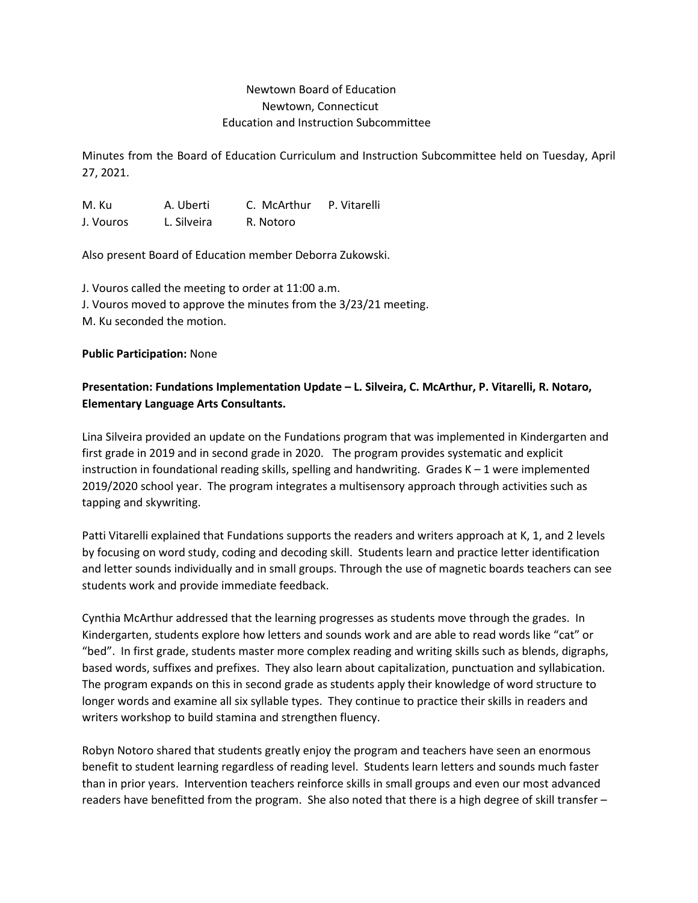# Newtown Board of Education Newtown, Connecticut Education and Instruction Subcommittee

Minutes from the Board of Education Curriculum and Instruction Subcommittee held on Tuesday, April 27, 2021.

M. Ku A. Uberti C. McArthur P. Vitarelli J. Vouros L. Silveira R. Notoro

Also present Board of Education member Deborra Zukowski.

J. Vouros called the meeting to order at 11:00 a.m. J. Vouros moved to approve the minutes from the 3/23/21 meeting. M. Ku seconded the motion.

#### **Public Participation:** None

# **Presentation: Fundations Implementation Update – L. Silveira, C. McArthur, P. Vitarelli, R. Notaro, Elementary Language Arts Consultants.**

Lina Silveira provided an update on the Fundations program that was implemented in Kindergarten and first grade in 2019 and in second grade in 2020. The program provides systematic and explicit instruction in foundational reading skills, spelling and handwriting. Grades  $K - 1$  were implemented 2019/2020 school year. The program integrates a multisensory approach through activities such as tapping and skywriting.

Patti Vitarelli explained that Fundations supports the readers and writers approach at K, 1, and 2 levels by focusing on word study, coding and decoding skill. Students learn and practice letter identification and letter sounds individually and in small groups. Through the use of magnetic boards teachers can see students work and provide immediate feedback.

Cynthia McArthur addressed that the learning progresses as students move through the grades. In Kindergarten, students explore how letters and sounds work and are able to read words like "cat" or "bed". In first grade, students master more complex reading and writing skills such as blends, digraphs, based words, suffixes and prefixes. They also learn about capitalization, punctuation and syllabication. The program expands on this in second grade as students apply their knowledge of word structure to longer words and examine all six syllable types. They continue to practice their skills in readers and writers workshop to build stamina and strengthen fluency.

Robyn Notoro shared that students greatly enjoy the program and teachers have seen an enormous benefit to student learning regardless of reading level. Students learn letters and sounds much faster than in prior years. Intervention teachers reinforce skills in small groups and even our most advanced readers have benefitted from the program. She also noted that there is a high degree of skill transfer –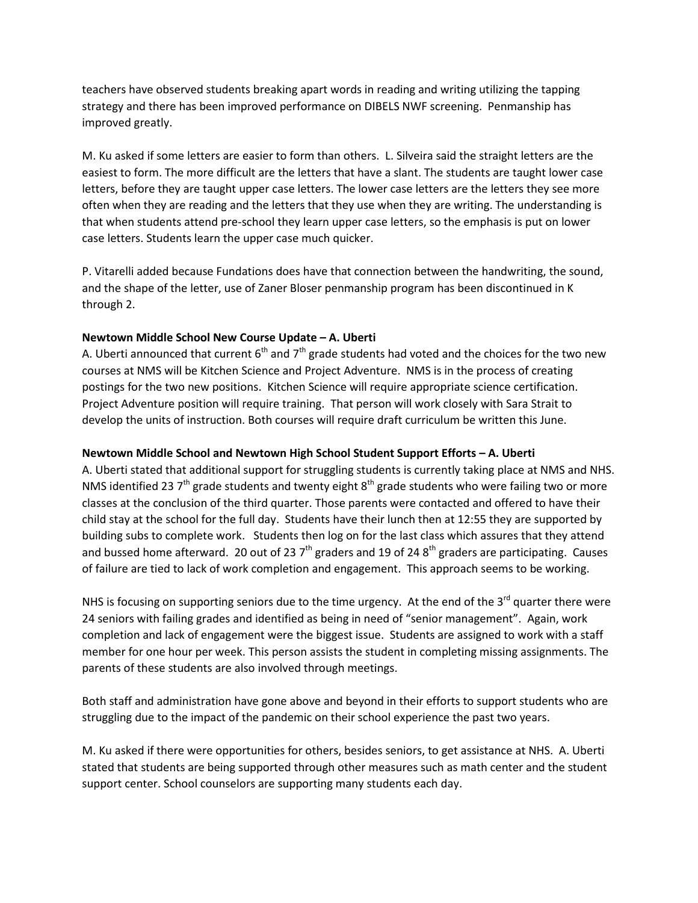teachers have observed students breaking apart words in reading and writing utilizing the tapping strategy and there has been improved performance on DIBELS NWF screening. Penmanship has improved greatly.

M. Ku asked if some letters are easier to form than others. L. Silveira said the straight letters are the easiest to form. The more difficult are the letters that have a slant. The students are taught lower case letters, before they are taught upper case letters. The lower case letters are the letters they see more often when they are reading and the letters that they use when they are writing. The understanding is that when students attend pre-school they learn upper case letters, so the emphasis is put on lower case letters. Students learn the upper case much quicker.

P. Vitarelli added because Fundations does have that connection between the handwriting, the sound, and the shape of the letter, use of Zaner Bloser penmanship program has been discontinued in K through 2.

## **Newtown Middle School New Course Update – A. Uberti**

A. Uberti announced that current  $6<sup>th</sup>$  and  $7<sup>th</sup>$  grade students had voted and the choices for the two new courses at NMS will be Kitchen Science and Project Adventure. NMS is in the process of creating postings for the two new positions. Kitchen Science will require appropriate science certification. Project Adventure position will require training. That person will work closely with Sara Strait to develop the units of instruction. Both courses will require draft curriculum be written this June.

### **Newtown Middle School and Newtown High School Student Support Efforts – A. Uberti**

A. Uberti stated that additional support for struggling students is currently taking place at NMS and NHS. NMS identified 23  $7<sup>th</sup>$  grade students and twenty eight  $8<sup>th</sup>$  grade students who were failing two or more classes at the conclusion of the third quarter. Those parents were contacted and offered to have their child stay at the school for the full day. Students have their lunch then at 12:55 they are supported by building subs to complete work. Students then log on for the last class which assures that they attend and bussed home afterward. 20 out of 23  $7<sup>th</sup>$  graders and 19 of 24  $8<sup>th</sup>$  graders are participating. Causes of failure are tied to lack of work completion and engagement. This approach seems to be working.

NHS is focusing on supporting seniors due to the time urgency. At the end of the  $3^{rd}$  quarter there were 24 seniors with failing grades and identified as being in need of "senior management". Again, work completion and lack of engagement were the biggest issue. Students are assigned to work with a staff member for one hour per week. This person assists the student in completing missing assignments. The parents of these students are also involved through meetings.

Both staff and administration have gone above and beyond in their efforts to support students who are struggling due to the impact of the pandemic on their school experience the past two years.

M. Ku asked if there were opportunities for others, besides seniors, to get assistance at NHS. A. Uberti stated that students are being supported through other measures such as math center and the student support center. School counselors are supporting many students each day.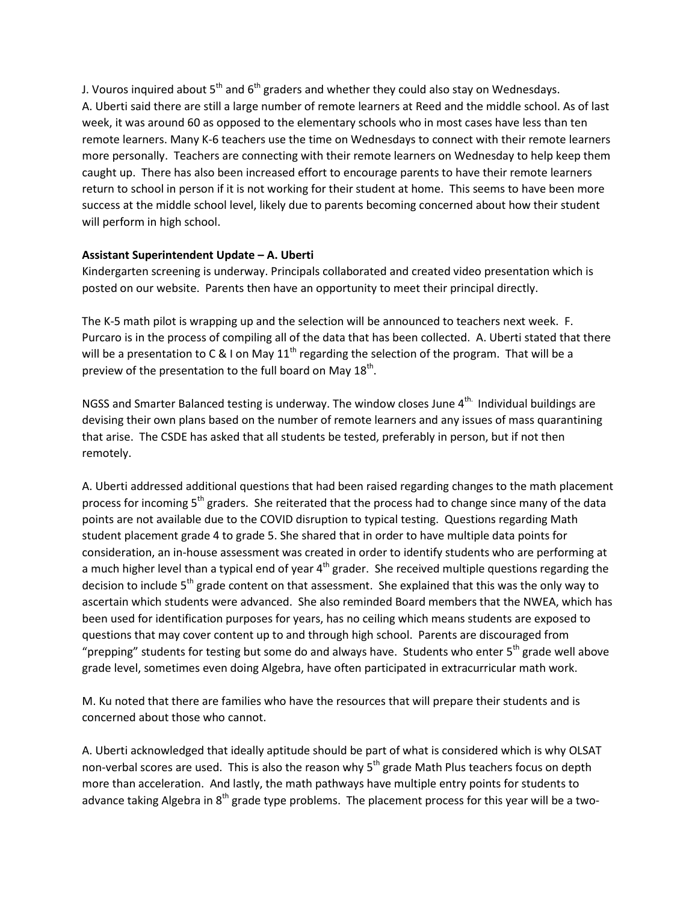J. Vouros inquired about  $5<sup>th</sup>$  and  $6<sup>th</sup>$  graders and whether they could also stay on Wednesdays. A. Uberti said there are still a large number of remote learners at Reed and the middle school. As of last week, it was around 60 as opposed to the elementary schools who in most cases have less than ten remote learners. Many K-6 teachers use the time on Wednesdays to connect with their remote learners more personally. Teachers are connecting with their remote learners on Wednesday to help keep them caught up. There has also been increased effort to encourage parents to have their remote learners return to school in person if it is not working for their student at home. This seems to have been more success at the middle school level, likely due to parents becoming concerned about how their student will perform in high school.

#### **Assistant Superintendent Update – A. Uberti**

Kindergarten screening is underway. Principals collaborated and created video presentation which is posted on our website. Parents then have an opportunity to meet their principal directly.

The K-5 math pilot is wrapping up and the selection will be announced to teachers next week. F. Purcaro is in the process of compiling all of the data that has been collected. A. Uberti stated that there will be a presentation to C & I on May  $11^{th}$  regarding the selection of the program. That will be a preview of the presentation to the full board on May  $18<sup>th</sup>$ .

NGSS and Smarter Balanced testing is underway. The window closes June  $4^{\text{th}}$ . Individual buildings are devising their own plans based on the number of remote learners and any issues of mass quarantining that arise. The CSDE has asked that all students be tested, preferably in person, but if not then remotely.

A. Uberti addressed additional questions that had been raised regarding changes to the math placement process for incoming 5<sup>th</sup> graders. She reiterated that the process had to change since many of the data points are not available due to the COVID disruption to typical testing. Questions regarding Math student placement grade 4 to grade 5. She shared that in order to have multiple data points for consideration, an in-house assessment was created in order to identify students who are performing at a much higher level than a typical end of year  $4<sup>th</sup>$  grader. She received multiple questions regarding the decision to include 5<sup>th</sup> grade content on that assessment. She explained that this was the only way to ascertain which students were advanced. She also reminded Board members that the NWEA, which has been used for identification purposes for years, has no ceiling which means students are exposed to questions that may cover content up to and through high school. Parents are discouraged from "prepping" students for testing but some do and always have. Students who enter  $5<sup>th</sup>$  grade well above grade level, sometimes even doing Algebra, have often participated in extracurricular math work.

M. Ku noted that there are families who have the resources that will prepare their students and is concerned about those who cannot.

A. Uberti acknowledged that ideally aptitude should be part of what is considered which is why OLSAT non-verbal scores are used. This is also the reason why  $5<sup>th</sup>$  grade Math Plus teachers focus on depth more than acceleration. And lastly, the math pathways have multiple entry points for students to advance taking Algebra in 8<sup>th</sup> grade type problems. The placement process for this year will be a two